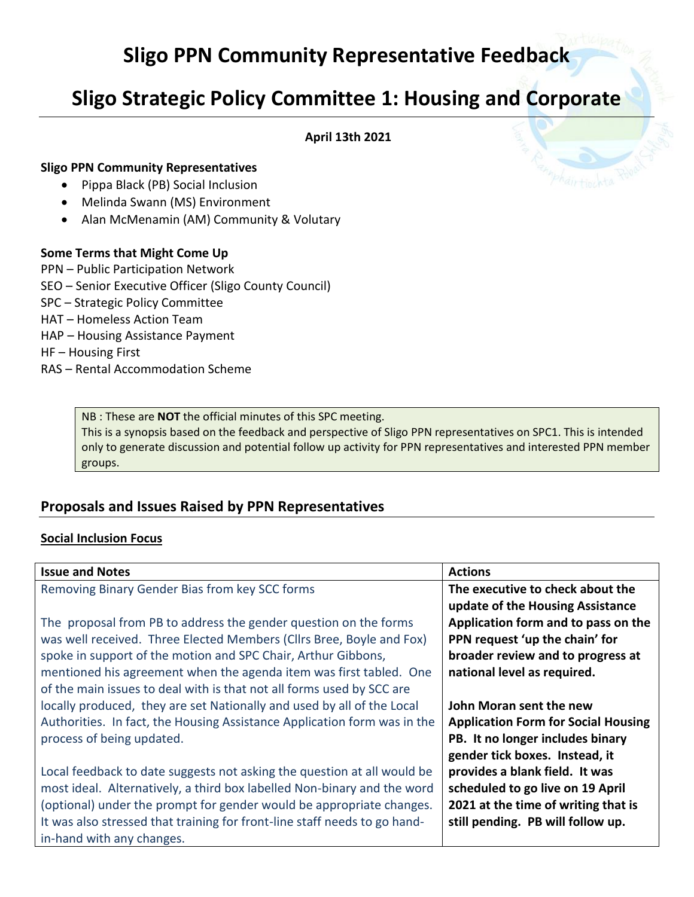# **Sligo PPN Community Representative Feedback**

## **Sligo Strategic Policy Committee 1: Housing and Corporate**

**April 13th 2021**

#### **Sligo PPN Community Representatives**

- Pippa Black (PB) Social Inclusion
- Melinda Swann (MS) Environment
- Alan McMenamin (AM) Community & Volutary

#### **Some Terms that Might Come Up**

- PPN Public Participation Network
- SEO Senior Executive Officer (Sligo County Council)
- SPC Strategic Policy Committee
- HAT Homeless Action Team
- HAP Housing Assistance Payment
- HF Housing First
- RAS Rental Accommodation Scheme

NB : These are **NOT** the official minutes of this SPC meeting.

This is a synopsis based on the feedback and perspective of Sligo PPN representatives on SPC1. This is intended only to generate discussion and potential follow up activity for PPN representatives and interested PPN member groups.

### **Proposals and Issues Raised by PPN Representatives**

#### **Social Inclusion Focus**

| <b>Issue and Notes</b>                                                    | <b>Actions</b>                             |
|---------------------------------------------------------------------------|--------------------------------------------|
| Removing Binary Gender Bias from key SCC forms                            | The executive to check about the           |
|                                                                           | update of the Housing Assistance           |
| The proposal from PB to address the gender question on the forms          | Application form and to pass on the        |
| was well received. Three Elected Members (Cllrs Bree, Boyle and Fox)      | PPN request 'up the chain' for             |
| spoke in support of the motion and SPC Chair, Arthur Gibbons,             | broader review and to progress at          |
| mentioned his agreement when the agenda item was first tabled. One        | national level as required.                |
| of the main issues to deal with is that not all forms used by SCC are     |                                            |
| locally produced, they are set Nationally and used by all of the Local    | John Moran sent the new                    |
| Authorities. In fact, the Housing Assistance Application form was in the  | <b>Application Form for Social Housing</b> |
| process of being updated.                                                 | PB. It no longer includes binary           |
|                                                                           | gender tick boxes. Instead, it             |
| Local feedback to date suggests not asking the question at all would be   | provides a blank field. It was             |
| most ideal. Alternatively, a third box labelled Non-binary and the word   | scheduled to go live on 19 April           |
| (optional) under the prompt for gender would be appropriate changes.      | 2021 at the time of writing that is        |
| It was also stressed that training for front-line staff needs to go hand- | still pending. PB will follow up.          |
| in-hand with any changes.                                                 |                                            |

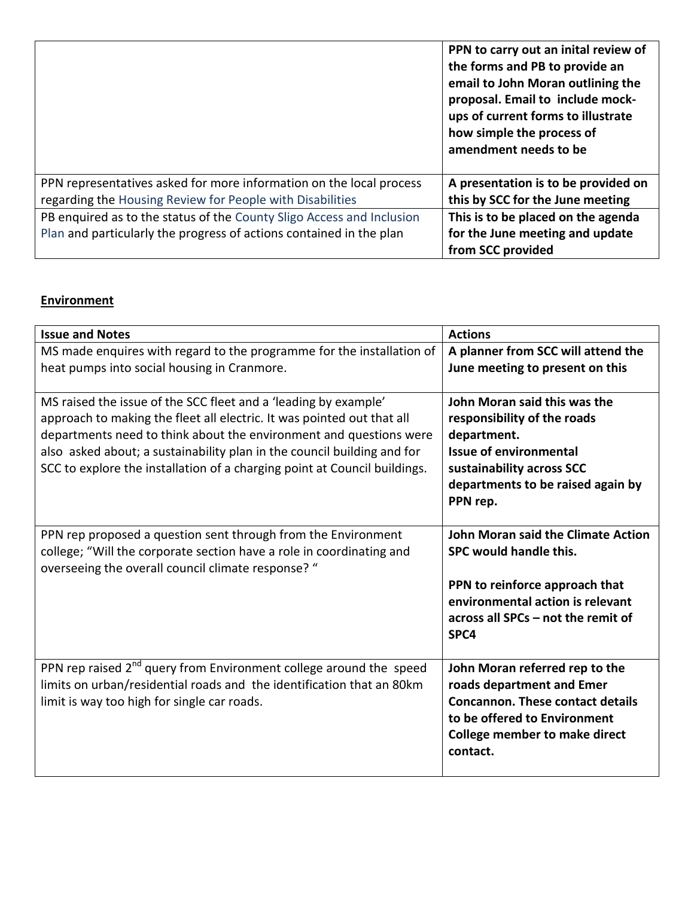|                                                                       | PPN to carry out an inital review of<br>the forms and PB to provide an<br>email to John Moran outlining the<br>proposal. Email to include mock-<br>ups of current forms to illustrate<br>how simple the process of<br>amendment needs to be |
|-----------------------------------------------------------------------|---------------------------------------------------------------------------------------------------------------------------------------------------------------------------------------------------------------------------------------------|
| PPN representatives asked for more information on the local process   | A presentation is to be provided on                                                                                                                                                                                                         |
| regarding the Housing Review for People with Disabilities             | this by SCC for the June meeting                                                                                                                                                                                                            |
| PB enquired as to the status of the County Sligo Access and Inclusion | This is to be placed on the agenda                                                                                                                                                                                                          |
| Plan and particularly the progress of actions contained in the plan   | for the June meeting and update                                                                                                                                                                                                             |
|                                                                       | from SCC provided                                                                                                                                                                                                                           |

## **Environment**

| <b>Issue and Notes</b>                                                                                                                                                                                                                                                                                                                                                  | <b>Actions</b>                                                                                                                                                                             |
|-------------------------------------------------------------------------------------------------------------------------------------------------------------------------------------------------------------------------------------------------------------------------------------------------------------------------------------------------------------------------|--------------------------------------------------------------------------------------------------------------------------------------------------------------------------------------------|
| MS made enquires with regard to the programme for the installation of<br>heat pumps into social housing in Cranmore.                                                                                                                                                                                                                                                    | A planner from SCC will attend the<br>June meeting to present on this                                                                                                                      |
| MS raised the issue of the SCC fleet and a 'leading by example'<br>approach to making the fleet all electric. It was pointed out that all<br>departments need to think about the environment and questions were<br>also asked about; a sustainability plan in the council building and for<br>SCC to explore the installation of a charging point at Council buildings. | John Moran said this was the<br>responsibility of the roads<br>department.<br><b>Issue of environmental</b><br>sustainability across SCC<br>departments to be raised again by<br>PPN rep.  |
| PPN rep proposed a question sent through from the Environment<br>college; "Will the corporate section have a role in coordinating and<br>overseeing the overall council climate response? "                                                                                                                                                                             | John Moran said the Climate Action<br>SPC would handle this.<br>PPN to reinforce approach that<br>environmental action is relevant<br>across all SPCs - not the remit of<br>SPC4           |
| PPN rep raised 2 <sup>nd</sup> query from Environment college around the speed<br>limits on urban/residential roads and the identification that an 80km<br>limit is way too high for single car roads.                                                                                                                                                                  | John Moran referred rep to the<br>roads department and Emer<br><b>Concannon. These contact details</b><br>to be offered to Environment<br><b>College member to make direct</b><br>contact. |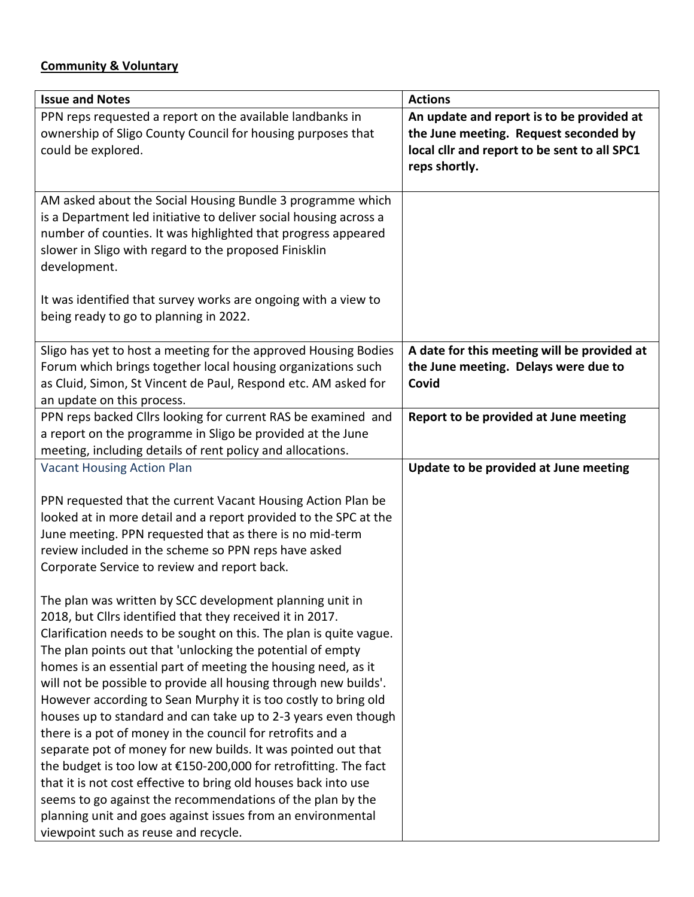## **Community & Voluntary**

| <b>Issue and Notes</b>                                                                                                    | <b>Actions</b>                               |
|---------------------------------------------------------------------------------------------------------------------------|----------------------------------------------|
| PPN reps requested a report on the available landbanks in                                                                 | An update and report is to be provided at    |
| ownership of Sligo County Council for housing purposes that                                                               | the June meeting. Request seconded by        |
| could be explored.                                                                                                        | local cllr and report to be sent to all SPC1 |
|                                                                                                                           | reps shortly.                                |
| AM asked about the Social Housing Bundle 3 programme which                                                                |                                              |
| is a Department led initiative to deliver social housing across a                                                         |                                              |
| number of counties. It was highlighted that progress appeared                                                             |                                              |
| slower in Sligo with regard to the proposed Finisklin                                                                     |                                              |
| development.                                                                                                              |                                              |
| It was identified that survey works are ongoing with a view to                                                            |                                              |
| being ready to go to planning in 2022.                                                                                    |                                              |
|                                                                                                                           |                                              |
| Sligo has yet to host a meeting for the approved Housing Bodies                                                           | A date for this meeting will be provided at  |
| Forum which brings together local housing organizations such                                                              | the June meeting. Delays were due to         |
| as Cluid, Simon, St Vincent de Paul, Respond etc. AM asked for                                                            | Covid                                        |
| an update on this process.                                                                                                |                                              |
| PPN reps backed Cllrs looking for current RAS be examined and                                                             | Report to be provided at June meeting        |
| a report on the programme in Sligo be provided at the June                                                                |                                              |
| meeting, including details of rent policy and allocations.                                                                |                                              |
| <b>Vacant Housing Action Plan</b>                                                                                         | Update to be provided at June meeting        |
| PPN requested that the current Vacant Housing Action Plan be                                                              |                                              |
| looked at in more detail and a report provided to the SPC at the                                                          |                                              |
| June meeting. PPN requested that as there is no mid-term                                                                  |                                              |
| review included in the scheme so PPN reps have asked                                                                      |                                              |
| Corporate Service to review and report back.                                                                              |                                              |
|                                                                                                                           |                                              |
| The plan was written by SCC development planning unit in                                                                  |                                              |
| 2018, but Cllrs identified that they received it in 2017.                                                                 |                                              |
| Clarification needs to be sought on this. The plan is quite vague.                                                        |                                              |
| The plan points out that 'unlocking the potential of empty                                                                |                                              |
| homes is an essential part of meeting the housing need, as it                                                             |                                              |
| will not be possible to provide all housing through new builds'.                                                          |                                              |
| However according to Sean Murphy it is too costly to bring old                                                            |                                              |
| houses up to standard and can take up to 2-3 years even though                                                            |                                              |
| there is a pot of money in the council for retrofits and a                                                                |                                              |
| separate pot of money for new builds. It was pointed out that                                                             |                                              |
| the budget is too low at €150-200,000 for retrofitting. The fact                                                          |                                              |
| that it is not cost effective to bring old houses back into use                                                           |                                              |
| seems to go against the recommendations of the plan by the<br>planning unit and goes against issues from an environmental |                                              |
| viewpoint such as reuse and recycle.                                                                                      |                                              |
|                                                                                                                           |                                              |